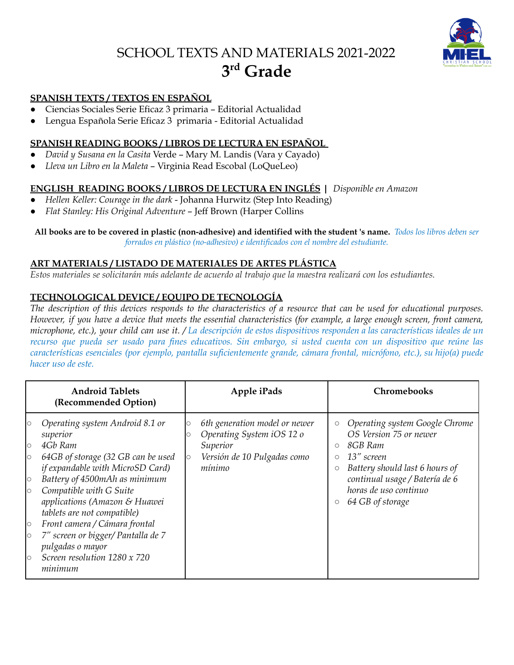# SCHOOL TEXTS AND MATERIALS 2021-2022 **3 rd Grade**



## **SPANISH TEXTS / TEXTOS EN ESPAÑOL**

- Ciencias Sociales Serie Eficaz 3 primaria Editorial Actualidad
- Lengua Española Serie Eficaz 3 primaria Editorial Actualidad

# **SPANISH READING BOOKS / LIBROS DE LECTURA EN ESPAÑOL**

- *David y Susana en la Casita* Verde Mary M. Landis (Vara y Cayado)
- *Lleva un Libro en la Maleta* Virginia Read Escobal (LoQueLeo)

# **ENGLISH READING BOOKS / LIBROS DE LECTURA EN INGLÉS |** *Disponible en Amazon*

- *Hellen Keller: Courage in the dark* Johanna Hurwitz (Step Into Reading)
- *Flat Stanley: His Original Adventure* Jeff Brown (Harper Collins

All books are to be covered in plastic (non-adhesive) and identified with the student 's name. Todos los libros deben ser *forrados en plástico (no-adhesivo) e identificados con el nombre del estudiante.*

#### **ART MATERIALS / LISTADO DE MATERIALES DE ARTES PLÁSTICA**

Estos materiales se solicitarán más adelante de acuerdo al trabajo que la maestra realizará con los estudiantes.

## **TECHNOLOGICAL DEVICE / EQUIPO DE TECNOLOGÍA**

The description of this devices responds to the characteristics of a resource that can be used for educational purposes. However, if you have a device that meets the essential characteristics (for example, a large enough screen, front camera, microphone, etc.), your child can use it. / La descripción de estos dispositivos responden a las características ideales de un recurso que pueda ser usado para fines educativos. Sin embargo, si usted cuenta con un dispositivo que reúne las *características esenciales (por ejemplo, pantalla suficientemente grande, cámara frontal, micrófono, etc.), su hijo(a) puede hacer uso de este.*

| <b>Android Tablets</b><br>(Recommended Option)                                                                                                                                                                                                                                                                                                                                                                                                                                             | Apple iPads                                                                                                                | <b>Chromebooks</b>                                                                                                                                                                                                                                                                |
|--------------------------------------------------------------------------------------------------------------------------------------------------------------------------------------------------------------------------------------------------------------------------------------------------------------------------------------------------------------------------------------------------------------------------------------------------------------------------------------------|----------------------------------------------------------------------------------------------------------------------------|-----------------------------------------------------------------------------------------------------------------------------------------------------------------------------------------------------------------------------------------------------------------------------------|
| Operating system Android 8.1 or<br>$\circ$<br>superior<br>4Gb Ram<br>$\circ$<br>64GB of storage (32 GB can be used<br>$\circ$<br>if expandable with MicroSD Card)<br>Battery of 4500mAh as minimum<br>$\circ$<br>Compatible with G Suite<br>$\circ$<br>applications (Amazon & Huawei<br>tablets are not compatible)<br>Front camera / Cámara frontal<br>$\circ$<br>7" screen or bigger/ Pantalla de 7<br>$\circ$<br>pulgadas o mayor<br>Screen resolution 1280 x 720<br>$\circ$<br>minimum | 6th generation model or newer<br>Operating System iOS 12 o<br>Superior<br>Versión de 10 Pulgadas como<br>$\circ$<br>mínimo | Operating system Google Chrome<br>$\circ$<br>OS Version 75 or newer<br>8GB Ram<br>$\circ$<br>13" screen<br>$\circ$<br>Battery should last 6 hours of<br>$\circlearrowright$<br>continual usage / Batería de 6<br>horas de uso continuo<br>64 GB of storage<br>$\circlearrowright$ |